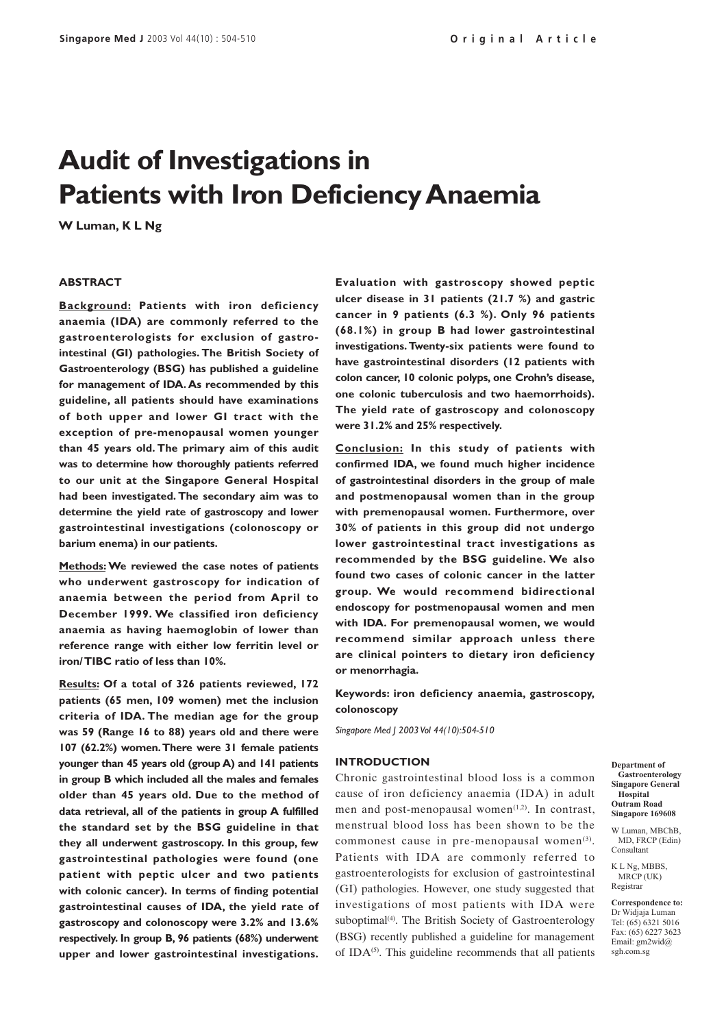# **Audit of Investigations in Patients with Iron Deficiency Anaemia**

**W Luman, K L Ng**

#### **ABSTRACT**

**Background: Patients with iron deficiency anaemia (IDA) are commonly referred to the gastroenterologists for exclusion of gastrointestinal (GI) pathologies. The British Society of Gastroenterology (BSG) has published a guideline for management of IDA. As recommended by this guideline, all patients should have examinations of both upper and lower GI tract with the exception of pre-menopausal women younger than 45 years old. The primary aim of this audit was to determine how thoroughly patients referred to our unit at the Singapore General Hospital had been investigated. The secondary aim was to determine the yield rate of gastroscopy and lower gastrointestinal investigations (colonoscopy or barium enema) in our patients.**

**Methods: We reviewed the case notes of patients who underwent gastroscopy for indication of anaemia between the period from April to December 1999. We classified iron deficiency anaemia as having haemoglobin of lower than reference range with either low ferritin level or iron/ TIBC ratio of less than 10%.**

**Results: Of a total of 326 patients reviewed, 172 patients (65 men, 109 women) met the inclusion criteria of IDA. The median age for the group was 59 (Range 16 to 88) years old and there were 107 (62.2%) women. There were 31 female patients younger than 45 years old (group A) and 141 patients in group B which included all the males and females older than 45 years old. Due to the method of data retrieval, all of the patients in group A fulfilled the standard set by the BSG guideline in that they all underwent gastroscopy. In this group, few gastrointestinal pathologies were found (one patient with peptic ulcer and two patients with colonic cancer). In terms of finding potential gastrointestinal causes of IDA, the yield rate of gastroscopy and colonoscopy were 3.2% and 13.6% respectively. In group B, 96 patients (68%) underwent upper and lower gastrointestinal investigations.** **Evaluation with gastroscopy showed peptic ulcer disease in 31 patients (21.7 %) and gastric cancer in 9 patients (6.3 %). Only 96 patients (68.1%) in group B had lower gastrointestinal investigations. Twenty-six patients were found to have gastrointestinal disorders (12 patients with colon cancer, 10 colonic polyps, one Crohn's disease, one colonic tuberculosis and two haemorrhoids). The yield rate of gastroscopy and colonoscopy were 31.2% and 25% respectively.**

**Conclusion: In this study of patients with confirmed IDA, we found much higher incidence of gastrointestinal disorders in the group of male and postmenopausal women than in the group with premenopausal women. Furthermore, over 30% of patients in this group did not undergo lower gastrointestinal tract investigations as recommended by the BSG guideline. We also found two cases of colonic cancer in the latter group. We would recommend bidirectional endoscopy for postmenopausal women and men with IDA. For premenopausal women, we would recommend similar approach unless there are clinical pointers to dietary iron deficiency or menorrhagia.**

**Keywords: iron deficiency anaemia, gastroscopy, colonoscopy**

*Singapore Med J 2003 Vol 44(10):504-510*

#### **INTRODUCTION**

Chronic gastrointestinal blood loss is a common cause of iron deficiency anaemia (IDA) in adult men and post-menopausal women $(1,2)$ . In contrast, menstrual blood loss has been shown to be the commonest cause in pre-menopausal women<sup>(3)</sup>. Patients with IDA are commonly referred to gastroenterologists for exclusion of gastrointestinal (GI) pathologies. However, one study suggested that investigations of most patients with IDA were suboptimal<sup>(4)</sup>. The British Society of Gastroenterology (BSG) recently published a guideline for management of IDA $^{(5)}$ . This guideline recommends that all patients

**Department of Gastroenterology Singapore General Hospital Outram Road Singapore 169608**

W Luman, MBChB MD, FRCP (Edin) Consultant

K L Ng, MBBS, MRCP (UK) Registrar

**Correspondence to:** Dr Widjaja Luman Tel: (65) 6321 5016 Fax: (65) 6227 3623 Email: gm2wid@ sgh.com.sg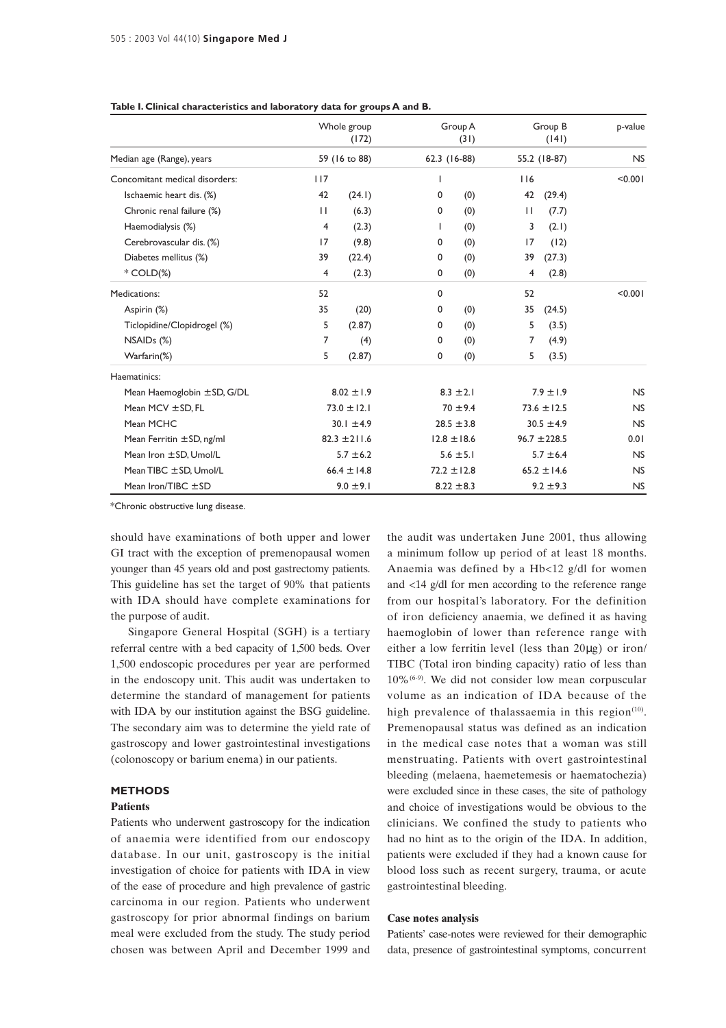|                                 |              | Whole group<br>(172) |              | Group A<br>(31) |     | Group B<br>(141) | p-value   |
|---------------------------------|--------------|----------------------|--------------|-----------------|-----|------------------|-----------|
| Median age (Range), years       |              | 59 (16 to 88)        | 62.3 (16-88) |                 |     | 55.2 (18-87)     | <b>NS</b> |
| Concomitant medical disorders:  | 117          |                      | $\mathbf{I}$ |                 | 116 |                  | < 0.001   |
| Ischaemic heart dis. (%)        | 42           | (24.1)               | 0            | (0)             | 42  | (29.4)           |           |
| Chronic renal failure (%)       | $\mathbf{H}$ | (6.3)                | 0            | (0)             | П   | (7.7)            |           |
| Haemodialysis (%)               | 4            | (2.3)                | L            | (0)             | 3   | (2.1)            |           |
| Cerebrovascular dis. (%)        | 17           | (9.8)                | 0            | (0)             | 17  | (12)             |           |
| Diabetes mellitus (%)           | 39           | (22.4)               | 0            | (0)             | 39  | (27.3)           |           |
| $*$ COLD $(\%)$                 | 4            | (2.3)                | $\mathbf 0$  | (0)             | 4   | (2.8)            |           |
| Medications:                    | 52           |                      | 0            |                 | 52  |                  | < 0.001   |
| Aspirin (%)                     | 35           | (20)                 | 0            | (0)             | 35  | (24.5)           |           |
| Ticlopidine/Clopidrogel (%)     | 5            | (2.87)               | 0            | (0)             | 5   | (3.5)            |           |
| NSAID <sub>s</sub> (%)          | 7            | (4)                  | 0            | (0)             | 7   | (4.9)            |           |
| Warfarin(%)                     | 5            | (2.87)               | 0            | (0)             | 5   | (3.5)            |           |
| Haematinics:                    |              |                      |              |                 |     |                  |           |
| Mean Haemoglobin $\pm$ SD, G/DL |              | $8.02 \pm 1.9$       |              | $8.3 \pm 2.1$   |     | $7.9 \pm 1.9$    | NS        |
| Mean $MCV \pm SD$ , FL          |              | $73.0 \pm 12.1$      |              | $70 \pm 9.4$    |     | $73.6 \pm 12.5$  | <b>NS</b> |
| Mean MCHC                       |              | $30.1 \pm 4.9$       |              | $28.5 \pm 3.8$  |     | $30.5 \pm 4.9$   | <b>NS</b> |
| Mean Ferritin $\pm$ SD, ng/ml   |              | $82.3 \pm 211.6$     |              | $12.8 \pm 18.6$ |     | $96.7 \pm 228.5$ | 0.01      |
| Mean Iron $\pm$ SD, Umol/L      |              | $5.7 \pm 6.2$        |              | $5.6 \pm 5.1$   |     | $5.7 \pm 6.4$    | <b>NS</b> |
| Mean TIBC $\pm$ SD, Umol/L      |              | 66.4 $\pm$ 14.8      |              | $72.2 \pm 12.8$ |     | $65.2 \pm 14.6$  | NS        |
| Mean Iron/TIBC $\pm$ SD         |              | $9.0 \pm 9.1$        |              | $8.22 \pm 8.3$  |     | $9.2 \pm 9.3$    | <b>NS</b> |

#### **Table I. Clinical characteristics and laboratory data for groups A and B.**

\*Chronic obstructive lung disease.

should have examinations of both upper and lower GI tract with the exception of premenopausal women younger than 45 years old and post gastrectomy patients. This guideline has set the target of 90% that patients with IDA should have complete examinations for the purpose of audit.

Singapore General Hospital (SGH) is a tertiary referral centre with a bed capacity of 1,500 beds. Over 1,500 endoscopic procedures per year are performed in the endoscopy unit. This audit was undertaken to determine the standard of management for patients with IDA by our institution against the BSG guideline. The secondary aim was to determine the yield rate of gastroscopy and lower gastrointestinal investigations (colonoscopy or barium enema) in our patients.

#### **METHODS**

## **Patients**

Patients who underwent gastroscopy for the indication of anaemia were identified from our endoscopy database. In our unit, gastroscopy is the initial investigation of choice for patients with IDA in view of the ease of procedure and high prevalence of gastric carcinoma in our region. Patients who underwent gastroscopy for prior abnormal findings on barium meal were excluded from the study. The study period chosen was between April and December 1999 and the audit was undertaken June 2001, thus allowing a minimum follow up period of at least 18 months. Anaemia was defined by a Hb<12 g/dl for women and <14 g/dl for men according to the reference range from our hospital's laboratory. For the definition of iron deficiency anaemia, we defined it as having haemoglobin of lower than reference range with either a low ferritin level (less than 20µg) or iron/ TIBC (Total iron binding capacity) ratio of less than 10%(6-9). We did not consider low mean corpuscular volume as an indication of IDA because of the high prevalence of thalassaemia in this region<sup>(10)</sup>. Premenopausal status was defined as an indication in the medical case notes that a woman was still menstruating. Patients with overt gastrointestinal bleeding (melaena, haemetemesis or haematochezia) were excluded since in these cases, the site of pathology and choice of investigations would be obvious to the clinicians. We confined the study to patients who had no hint as to the origin of the IDA. In addition, patients were excluded if they had a known cause for blood loss such as recent surgery, trauma, or acute gastrointestinal bleeding.

## **Case notes analysis**

Patients' case-notes were reviewed for their demographic data, presence of gastrointestinal symptoms, concurrent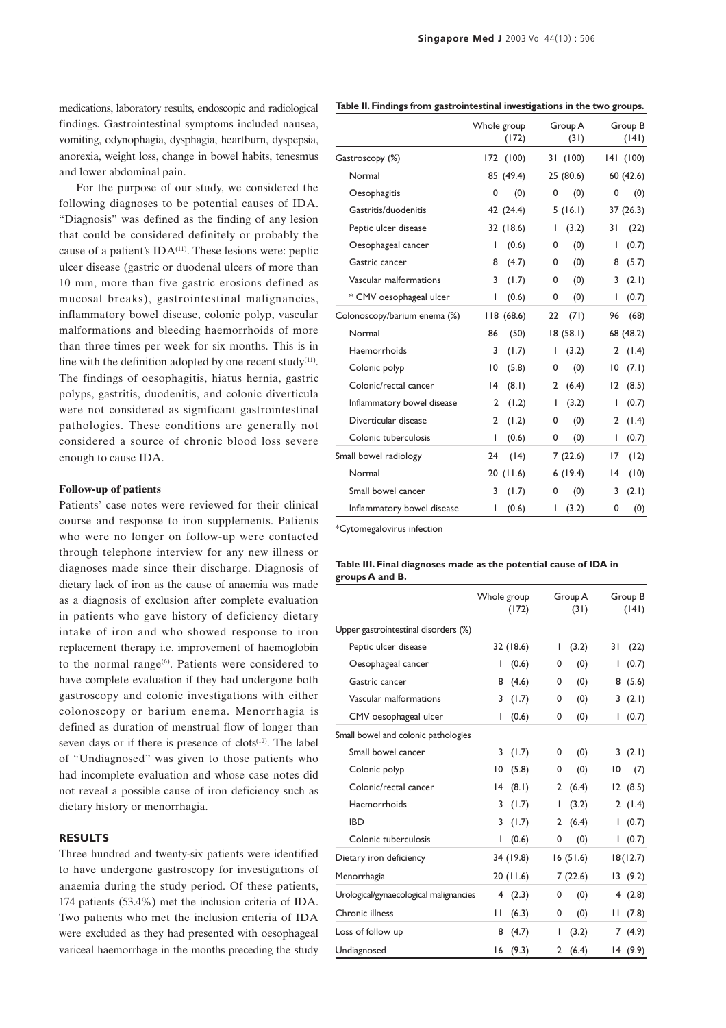**Singapore Med J** 2003 Vol 44(10) : 506

medications, laboratory results, endoscopic and radiological findings. Gastrointestinal symptoms included nausea, vomiting, odynophagia, dysphagia, heartburn, dyspepsia, anorexia, weight loss, change in bowel habits, tenesmus and lower abdominal pain.

For the purpose of our study, we considered the following diagnoses to be potential causes of IDA. "Diagnosis" was defined as the finding of any lesion that could be considered definitely or probably the cause of a patient's  $IDA<sup>(11)</sup>$ . These lesions were: peptic ulcer disease (gastric or duodenal ulcers of more than 10 mm, more than five gastric erosions defined as mucosal breaks), gastrointestinal malignancies, inflammatory bowel disease, colonic polyp, vascular malformations and bleeding haemorrhoids of more than three times per week for six months. This is in line with the definition adopted by one recent study $(11)$ . The findings of oesophagitis, hiatus hernia, gastric polyps, gastritis, duodenitis, and colonic diverticula were not considered as significant gastrointestinal pathologies. These conditions are generally not considered a source of chronic blood loss severe enough to cause IDA.

## **Follow-up of patients**

Patients' case notes were reviewed for their clinical course and response to iron supplements. Patients who were no longer on follow-up were contacted through telephone interview for any new illness or diagnoses made since their discharge. Diagnosis of dietary lack of iron as the cause of anaemia was made as a diagnosis of exclusion after complete evaluation in patients who gave history of deficiency dietary intake of iron and who showed response to iron replacement therapy i.e. improvement of haemoglobin to the normal range $(6)$ . Patients were considered to have complete evaluation if they had undergone both gastroscopy and colonic investigations with either colonoscopy or barium enema. Menorrhagia is defined as duration of menstrual flow of longer than seven days or if there is presence of clots $(12)$ . The label of "Undiagnosed" was given to those patients who had incomplete evaluation and whose case notes did not reveal a possible cause of iron deficiency such as dietary history or menorrhagia.

## **RESULTS**

Three hundred and twenty-six patients were identified to have undergone gastroscopy for investigations of anaemia during the study period. Of these patients, 174 patients (53.4%) met the inclusion criteria of IDA. Two patients who met the inclusion criteria of IDA were excluded as they had presented with oesophageal variceal haemorrhage in the months preceding the study

|                              |                 | Whole group<br>(172) |    | Group A<br>(31) |    | Group B<br>(141) |
|------------------------------|-----------------|----------------------|----|-----------------|----|------------------|
| Gastroscopy (%)              |                 | 172 (100)            |    | 31 (100)        |    | 141 (100)        |
| Normal                       |                 | 85 (49.4)            |    | 25(80.6)        |    | 60 (42.6)        |
| Oesophagitis                 | 0               | (0)                  | 0  | (0)             | 0  | (0)              |
| Gastritis/duodenitis         |                 | 42 (24.4)            |    | 5(16.1)         |    | 37 (26.3)        |
| Peptic ulcer disease         |                 | 32 (18.6)            | L  | (3.2)           | 31 | (22)             |
| Oesophageal cancer           | L               | (0.6)                | 0  | (0)             | I  | (0.7)            |
| Gastric cancer               | 8               | (4.7)                | 0  | (0)             | 8  | (5.7)            |
| Vascular malformations       | 3               | (1.7)                | 0  | (0)             | 3  | (2.1)            |
| * CMV oesophageal ulcer      | L               | (0.6)                | 0  | (0)             | I  | (0.7)            |
| Colonoscopy/barium enema (%) |                 | 118(68.6)            | 22 | (71)            | 96 | (68)             |
| Normal                       | 86              | (50)                 |    | 18(58.1)        |    | 68 (48.2)        |
| Haemorrhoids                 | 3               | (1.7)                | L  | (3.2)           | 2  | (1.4)            |
| Colonic polyp                | $\overline{10}$ | (5.8)                | 0  | (0)             | 10 | (7.1)            |
| Colonic/rectal cancer        | 4               | (8.1)                | 2  | (6.4)           | 12 | (8.5)            |
| Inflammatory bowel disease   | $\overline{2}$  | (1.2)                | T  | (3.2)           | I  | (0.7)            |
| Diverticular disease         | 2               | (1.2)                | 0  | (0)             | 2  | (1.4)            |
| Colonic tuberculosis         | L               | (0.6)                | 0  | (0)             | I  | (0.7)            |
| Small bowel radiology        | 24              | (14)                 |    | 7(22.6)         | 17 | (12)             |
| Normal                       |                 | 20(11.6)             |    | 6(19.4)         | 4  | (10)             |
| Small bowel cancer           | 3               | (1.7)                | 0  | (0)             | 3  | (2.1)            |
| Inflammatory bowel disease   | L               | (0.6)                | I  | (3.2)           | 0  | (0)              |

\*Cytomegalovirus infection

#### **Table III. Final diagnoses made as the potential cause of IDA in groups A and B.**

|                                        | Whole group | (172)     |   | Group A<br>(31) |    | Group B<br>(141) |
|----------------------------------------|-------------|-----------|---|-----------------|----|------------------|
| Upper gastrointestinal disorders (%)   |             |           |   |                 |    |                  |
| Peptic ulcer disease                   |             | 32 (18.6) | I | (3.2)           | 31 | (22)             |
| Oesophageal cancer                     | L           | (0.6)     | 0 | (0)             | I  | (0.7)            |
| Gastric cancer                         | 8           | (4.6)     | 0 | (0)             | 8  | (5.6)            |
| Vascular malformations                 | 3           | (1.7)     | 0 | (0)             | 3  | (2.1)            |
| CMV oesophageal ulcer                  | L           | (0.6)     | 0 | (0)             |    | (0.7)            |
| Small bowel and colonic pathologies    |             |           |   |                 |    |                  |
| Small bowel cancer                     | 3           | (1.7)     | 0 | (0)             | 3  | (2.1)            |
| Colonic polyp                          | 10          | (5.8)     | 0 | (0)             | 10 | (7)              |
| Colonic/rectal cancer                  | 14          | (8.1)     | 2 | (6.4)           | 12 | (8.5)            |
| Haemorrhoids                           | 3           | (1.7)     | ı | (3.2)           | 2  | (1.4)            |
| <b>IBD</b>                             | 3           | (1.7)     | 2 | (6.4)           | L  | (0.7)            |
| Colonic tuberculosis                   | L           | (0.6)     | 0 | (0)             | L  | (0.7)            |
| Dietary iron deficiency                |             | 34 (19.8) |   | 16(51.6)        |    | 18(12.7)         |
| Menorrhagia                            |             | 20(11.6)  |   | 7(22.6)         |    | 13(9.2)          |
| Urological/gynaecological malignancies | 4           | (2.3)     | 0 | (0)             |    | 4(2.8)           |
| Chronic illness                        | Н           | (6.3)     | 0 | (0)             | П  | (7.8)            |
| Loss of follow up                      | 8           | (4.7)     | L | (3.2)           | 7  | (4.9)            |
| Undiagnosed                            | 16          | (9.3)     | 2 | (6.4)           |    | 14 (9.9)         |

## **Table II. Findings from gastrointestinal investigations in the two groups.**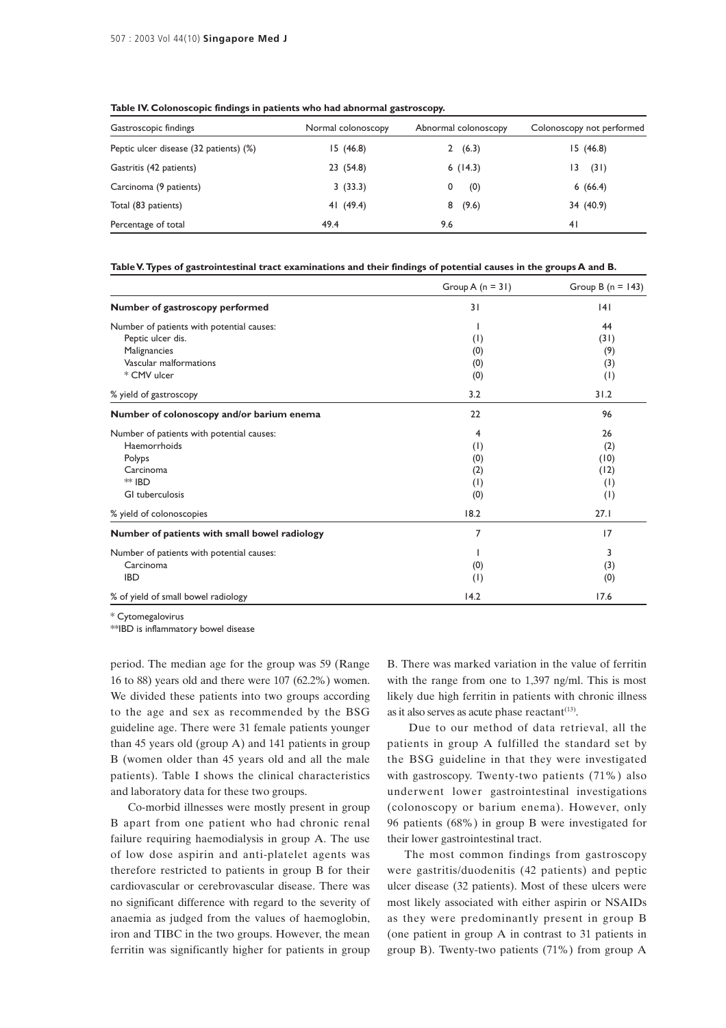| Gastroscopic findings                  | Normal colonoscopy | Abnormal colonoscopy | Colonoscopy not performed |
|----------------------------------------|--------------------|----------------------|---------------------------|
| Peptic ulcer disease (32 patients) (%) | 15(46.8)           | (6.3)<br>2           | 15(46.8)                  |
| Gastritis (42 patients)                | 23 (54.8)          | 6(14.3)              | (31)<br>13                |
| Carcinoma (9 patients)                 | 3(33.3)            | (0)                  | 6(66.4)                   |
| Total (83 patients)                    | 41 (49.4)          | (9.6)<br>8           | 34 (40.9)                 |
| Percentage of total                    | 49.4               | 9.6                  | 41                        |

**Table IV. Colonoscopic findings in patients who had abnormal gastroscopy.**

**Table V. Types of gastrointestinal tract examinations and their findings of potential causes in the groups A and B.**

|                                               | Group A $(n = 31)$ | Group B $(n = 143)$ |
|-----------------------------------------------|--------------------|---------------------|
| Number of gastroscopy performed               | 31                 | 4                   |
| Number of patients with potential causes:     |                    | 44                  |
| Peptic ulcer dis.                             | (1)                | (31)                |
| Malignancies                                  | (0)                | (9)                 |
| Vascular malformations                        | (0)                | (3)                 |
| * CMV ulcer                                   | (0)                | (1)                 |
| % yield of gastroscopy                        | 3.2                | 31.2                |
| Number of colonoscopy and/or barium enema     | 22                 | 96                  |
| Number of patients with potential causes:     | $\overline{4}$     | 26                  |
| Haemorrhoids                                  | (1)                | (2)                 |
| Polyps                                        | (0)                | (10)                |
| Carcinoma                                     | (2)                | (12)                |
| <b>** IBD</b>                                 | (1)                | (1)                 |
| GI tuberculosis                               | (0)                | (1)                 |
| % yield of colonoscopies                      | 18.2               | 27.1                |
| Number of patients with small bowel radiology | 7                  | 17                  |
| Number of patients with potential causes:     |                    | 3                   |
| Carcinoma                                     | (0)                | (3)                 |
| <b>IBD</b>                                    | (1)                | (0)                 |
| % of yield of small bowel radiology           | 14.2               | 17.6                |

\* Cytomegalovirus

\*\*IBD is inflammatory bowel disease

period. The median age for the group was 59 (Range 16 to 88) years old and there were 107 (62.2%) women. We divided these patients into two groups according to the age and sex as recommended by the BSG guideline age. There were 31 female patients younger than 45 years old (group A) and 141 patients in group B (women older than 45 years old and all the male patients). Table I shows the clinical characteristics and laboratory data for these two groups.

Co-morbid illnesses were mostly present in group B apart from one patient who had chronic renal failure requiring haemodialysis in group A. The use of low dose aspirin and anti-platelet agents was therefore restricted to patients in group B for their cardiovascular or cerebrovascular disease. There was no significant difference with regard to the severity of anaemia as judged from the values of haemoglobin, iron and TIBC in the two groups. However, the mean ferritin was significantly higher for patients in group

B. There was marked variation in the value of ferritin with the range from one to 1,397 ng/ml. This is most likely due high ferritin in patients with chronic illness as it also serves as acute phase reactant<sup>(13)</sup>.

 Due to our method of data retrieval, all the patients in group A fulfilled the standard set by the BSG guideline in that they were investigated with gastroscopy. Twenty-two patients (71%) also underwent lower gastrointestinal investigations (colonoscopy or barium enema). However, only 96 patients (68%) in group B were investigated for their lower gastrointestinal tract.

The most common findings from gastroscopy were gastritis/duodenitis (42 patients) and peptic ulcer disease (32 patients). Most of these ulcers were most likely associated with either aspirin or NSAIDs as they were predominantly present in group B (one patient in group A in contrast to 31 patients in group B). Twenty-two patients (71%) from group A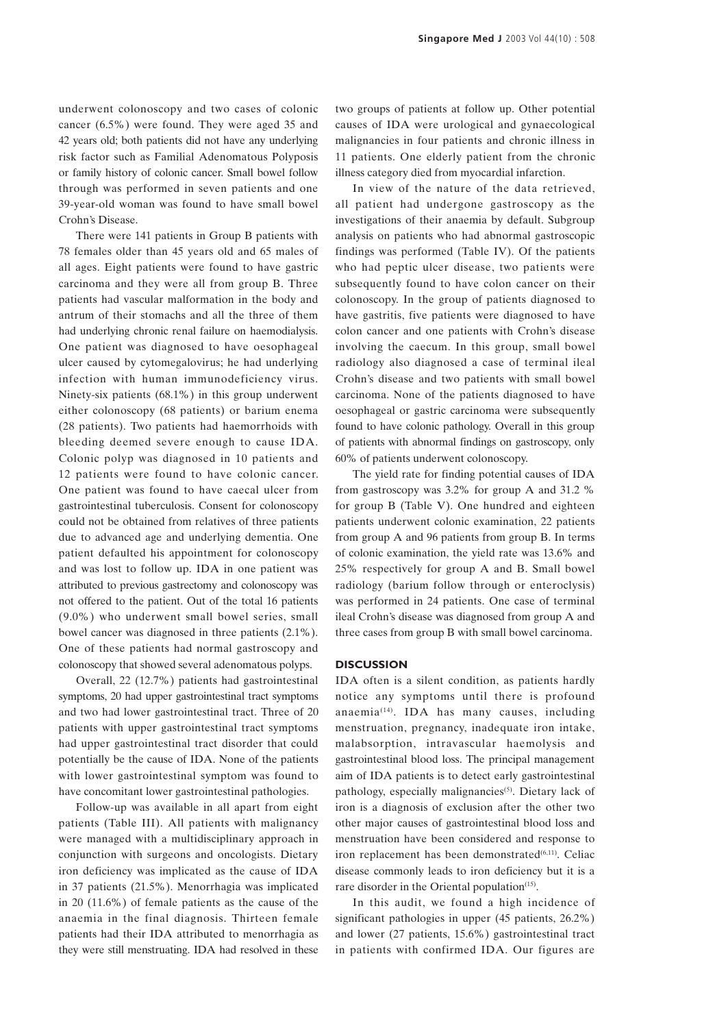underwent colonoscopy and two cases of colonic cancer (6.5%) were found. They were aged 35 and 42 years old; both patients did not have any underlying risk factor such as Familial Adenomatous Polyposis or family history of colonic cancer. Small bowel follow through was performed in seven patients and one 39-year-old woman was found to have small bowel Crohn's Disease.

There were 141 patients in Group B patients with 78 females older than 45 years old and 65 males of all ages. Eight patients were found to have gastric carcinoma and they were all from group B. Three patients had vascular malformation in the body and antrum of their stomachs and all the three of them had underlying chronic renal failure on haemodialysis. One patient was diagnosed to have oesophageal ulcer caused by cytomegalovirus; he had underlying infection with human immunodeficiency virus. Ninety-six patients (68.1%) in this group underwent either colonoscopy (68 patients) or barium enema (28 patients). Two patients had haemorrhoids with bleeding deemed severe enough to cause IDA. Colonic polyp was diagnosed in 10 patients and 12 patients were found to have colonic cancer. One patient was found to have caecal ulcer from gastrointestinal tuberculosis. Consent for colonoscopy could not be obtained from relatives of three patients due to advanced age and underlying dementia. One patient defaulted his appointment for colonoscopy and was lost to follow up. IDA in one patient was attributed to previous gastrectomy and colonoscopy was not offered to the patient. Out of the total 16 patients (9.0%) who underwent small bowel series, small bowel cancer was diagnosed in three patients (2.1%). One of these patients had normal gastroscopy and colonoscopy that showed several adenomatous polyps.

Overall, 22 (12.7%) patients had gastrointestinal symptoms, 20 had upper gastrointestinal tract symptoms and two had lower gastrointestinal tract. Three of 20 patients with upper gastrointestinal tract symptoms had upper gastrointestinal tract disorder that could potentially be the cause of IDA. None of the patients with lower gastrointestinal symptom was found to have concomitant lower gastrointestinal pathologies.

Follow-up was available in all apart from eight patients (Table III). All patients with malignancy were managed with a multidisciplinary approach in conjunction with surgeons and oncologists. Dietary iron deficiency was implicated as the cause of IDA in 37 patients (21.5%). Menorrhagia was implicated in 20 (11.6%) of female patients as the cause of the anaemia in the final diagnosis. Thirteen female patients had their IDA attributed to menorrhagia as they were still menstruating. IDA had resolved in these two groups of patients at follow up. Other potential causes of IDA were urological and gynaecological malignancies in four patients and chronic illness in 11 patients. One elderly patient from the chronic illness category died from myocardial infarction.

In view of the nature of the data retrieved, all patient had undergone gastroscopy as the investigations of their anaemia by default. Subgroup analysis on patients who had abnormal gastroscopic findings was performed (Table IV). Of the patients who had peptic ulcer disease, two patients were subsequently found to have colon cancer on their colonoscopy. In the group of patients diagnosed to have gastritis, five patients were diagnosed to have colon cancer and one patients with Crohn's disease involving the caecum. In this group, small bowel radiology also diagnosed a case of terminal ileal Crohn's disease and two patients with small bowel carcinoma. None of the patients diagnosed to have oesophageal or gastric carcinoma were subsequently found to have colonic pathology. Overall in this group of patients with abnormal findings on gastroscopy, only 60% of patients underwent colonoscopy.

The yield rate for finding potential causes of IDA from gastroscopy was 3.2% for group A and 31.2 % for group B (Table V). One hundred and eighteen patients underwent colonic examination, 22 patients from group A and 96 patients from group B. In terms of colonic examination, the yield rate was 13.6% and 25% respectively for group A and B. Small bowel radiology (barium follow through or enteroclysis) was performed in 24 patients. One case of terminal ileal Crohn's disease was diagnosed from group A and three cases from group B with small bowel carcinoma.

### **DISCUSSION**

IDA often is a silent condition, as patients hardly notice any symptoms until there is profound anaemia(14). IDA has many causes, including menstruation, pregnancy, inadequate iron intake, malabsorption, intravascular haemolysis and gastrointestinal blood loss. The principal management aim of IDA patients is to detect early gastrointestinal pathology, especially malignancies<sup>(5)</sup>. Dietary lack of iron is a diagnosis of exclusion after the other two other major causes of gastrointestinal blood loss and menstruation have been considered and response to iron replacement has been demonstrated<sup>(6,11)</sup>. Celiac disease commonly leads to iron deficiency but it is a rare disorder in the Oriental population<sup>(15)</sup>.

In this audit, we found a high incidence of significant pathologies in upper (45 patients, 26.2%) and lower (27 patients, 15.6%) gastrointestinal tract in patients with confirmed IDA. Our figures are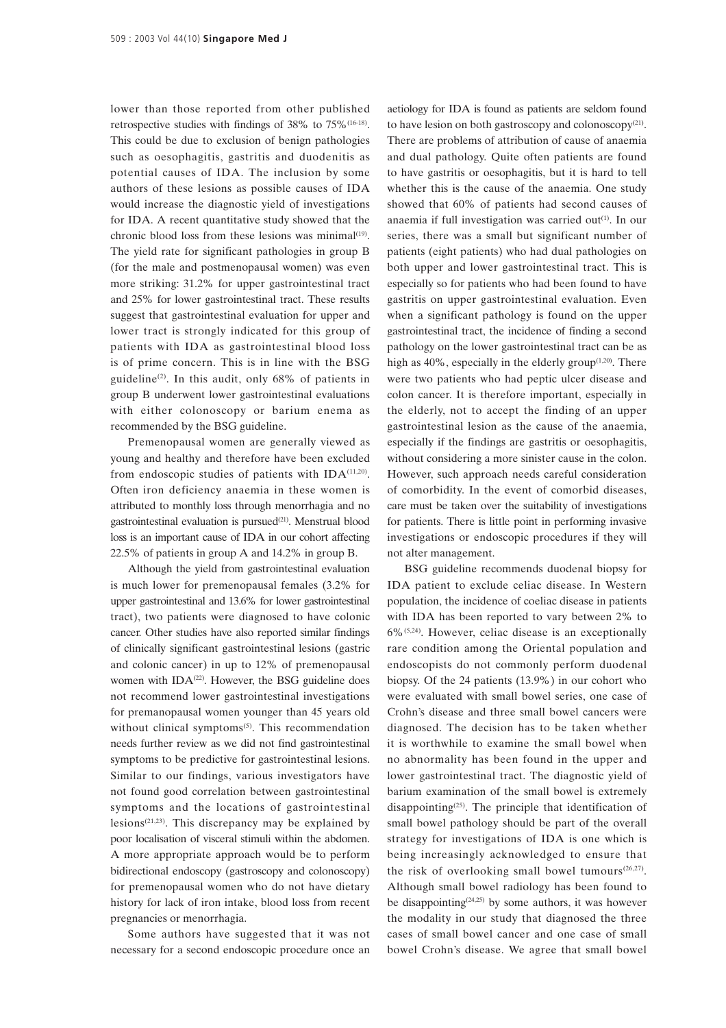lower than those reported from other published retrospective studies with findings of 38% to 75%(16-18). This could be due to exclusion of benign pathologies such as oesophagitis, gastritis and duodenitis as potential causes of IDA. The inclusion by some authors of these lesions as possible causes of IDA would increase the diagnostic yield of investigations for IDA. A recent quantitative study showed that the chronic blood loss from these lesions was minimal<sup>(19)</sup>. The yield rate for significant pathologies in group B (for the male and postmenopausal women) was even more striking: 31.2% for upper gastrointestinal tract and 25% for lower gastrointestinal tract. These results suggest that gastrointestinal evaluation for upper and lower tract is strongly indicated for this group of patients with IDA as gastrointestinal blood loss is of prime concern. This is in line with the BSG guideline<sup>(2)</sup>. In this audit, only  $68\%$  of patients in group B underwent lower gastrointestinal evaluations with either colonoscopy or barium enema as recommended by the BSG guideline.

Premenopausal women are generally viewed as young and healthy and therefore have been excluded from endoscopic studies of patients with IDA<sup>(11,20)</sup>. Often iron deficiency anaemia in these women is attributed to monthly loss through menorrhagia and no gastrointestinal evaluation is pursued<sup>(21)</sup>. Menstrual blood loss is an important cause of IDA in our cohort affecting 22.5% of patients in group A and 14.2% in group B.

Although the yield from gastrointestinal evaluation is much lower for premenopausal females (3.2% for upper gastrointestinal and 13.6% for lower gastrointestinal tract), two patients were diagnosed to have colonic cancer. Other studies have also reported similar findings of clinically significant gastrointestinal lesions (gastric and colonic cancer) in up to 12% of premenopausal women with  $IDA^{(22)}$ . However, the BSG guideline does not recommend lower gastrointestinal investigations for premanopausal women younger than 45 years old without clinical symptoms<sup>(5)</sup>. This recommendation needs further review as we did not find gastrointestinal symptoms to be predictive for gastrointestinal lesions. Similar to our findings, various investigators have not found good correlation between gastrointestinal symptoms and the locations of gastrointestinal lesions<sup> $(21,23)$ </sup>. This discrepancy may be explained by poor localisation of visceral stimuli within the abdomen. A more appropriate approach would be to perform bidirectional endoscopy (gastroscopy and colonoscopy) for premenopausal women who do not have dietary history for lack of iron intake, blood loss from recent pregnancies or menorrhagia.

Some authors have suggested that it was not necessary for a second endoscopic procedure once an

aetiology for IDA is found as patients are seldom found to have lesion on both gastroscopy and colonoscopy(21). There are problems of attribution of cause of anaemia and dual pathology. Quite often patients are found to have gastritis or oesophagitis, but it is hard to tell whether this is the cause of the anaemia. One study showed that 60% of patients had second causes of anaemia if full investigation was carried out $(1)$ . In our series, there was a small but significant number of patients (eight patients) who had dual pathologies on both upper and lower gastrointestinal tract. This is especially so for patients who had been found to have gastritis on upper gastrointestinal evaluation. Even when a significant pathology is found on the upper gastrointestinal tract, the incidence of finding a second pathology on the lower gastrointestinal tract can be as high as  $40\%$ , especially in the elderly group<sup> $(1,20)$ </sup>. There were two patients who had peptic ulcer disease and colon cancer. It is therefore important, especially in the elderly, not to accept the finding of an upper gastrointestinal lesion as the cause of the anaemia, especially if the findings are gastritis or oesophagitis, without considering a more sinister cause in the colon. However, such approach needs careful consideration of comorbidity. In the event of comorbid diseases, care must be taken over the suitability of investigations for patients. There is little point in performing invasive investigations or endoscopic procedures if they will not alter management.

BSG guideline recommends duodenal biopsy for IDA patient to exclude celiac disease. In Western population, the incidence of coeliac disease in patients with IDA has been reported to vary between 2% to 6%(5,24). However, celiac disease is an exceptionally rare condition among the Oriental population and endoscopists do not commonly perform duodenal biopsy. Of the 24 patients (13.9%) in our cohort who were evaluated with small bowel series, one case of Crohn's disease and three small bowel cancers were diagnosed. The decision has to be taken whether it is worthwhile to examine the small bowel when no abnormality has been found in the upper and lower gastrointestinal tract. The diagnostic yield of barium examination of the small bowel is extremely disappointing $(25)$ . The principle that identification of small bowel pathology should be part of the overall strategy for investigations of IDA is one which is being increasingly acknowledged to ensure that the risk of overlooking small bowel tumours<sup> $(26,27)$ </sup>. Although small bowel radiology has been found to be disappointing<sup> $(24,25)$ </sup> by some authors, it was however the modality in our study that diagnosed the three cases of small bowel cancer and one case of small bowel Crohn's disease. We agree that small bowel